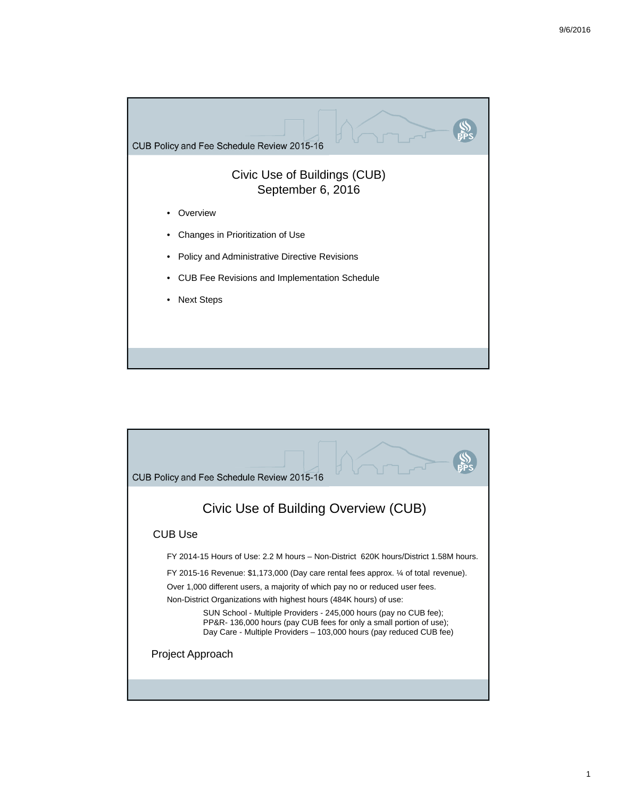

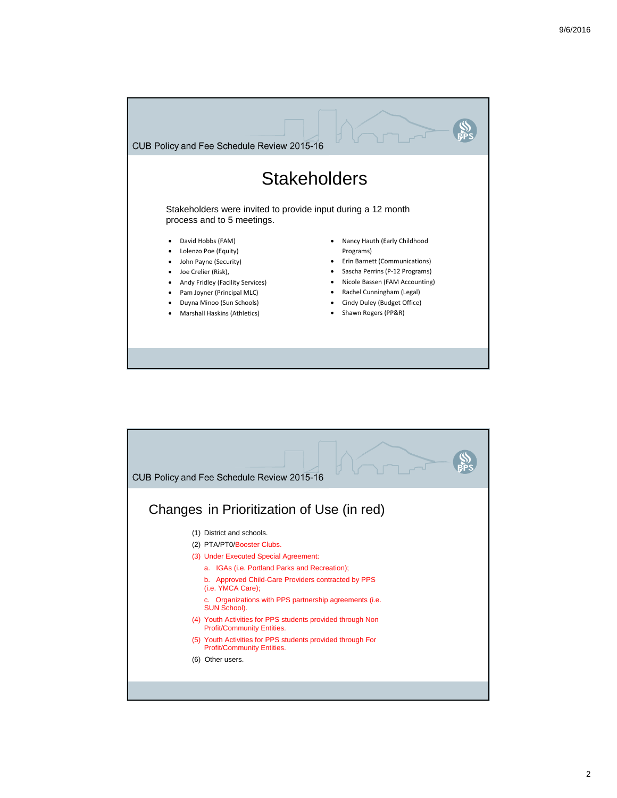

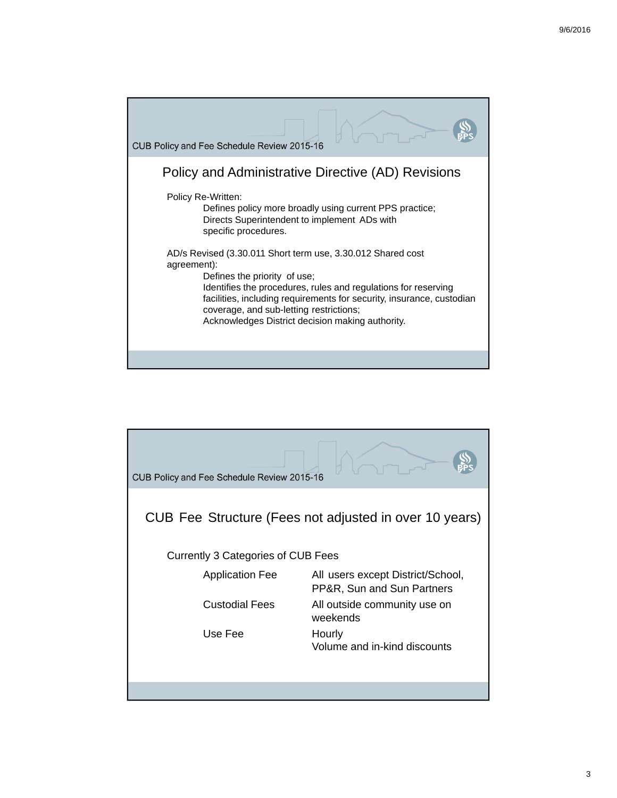

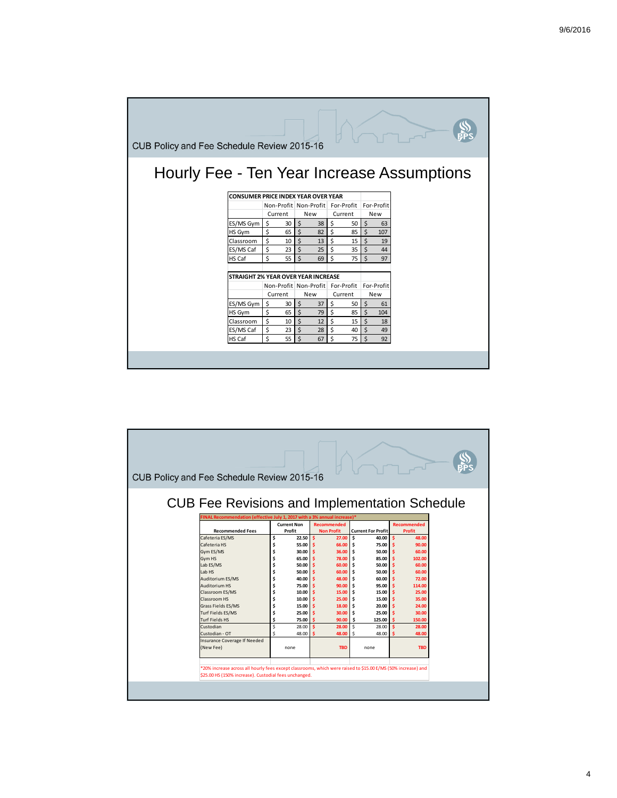